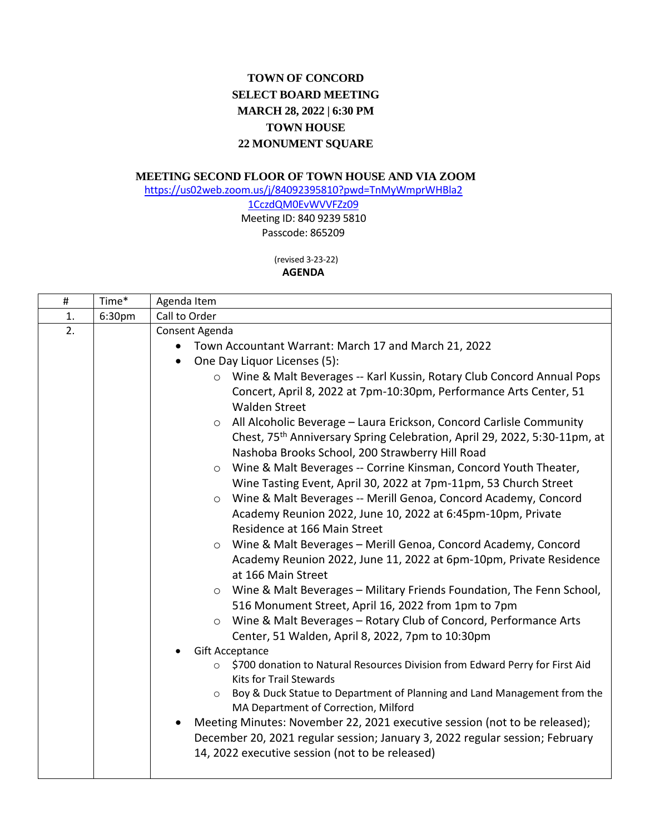## **TOWN OF CONCORD SELECT BOARD MEETING MARCH 28, 2022 | 6:30 PM TOWN HOUSE 22 MONUMENT SQUARE**

## **MEETING SECOND FLOOR OF TOWN HOUSE AND VIA ZOOM**

[https://us02web.zoom.us/j/84092395810?pwd=TnMyWmprWHBla2](https://us02web.zoom.us/j/84092395810?pwd=TnMyWmprWHBla21CczdQM0EvWVVFZz09)

[1CczdQM0EvWVVFZz09](https://us02web.zoom.us/j/84092395810?pwd=TnMyWmprWHBla21CczdQM0EvWVVFZz09) Meeting ID: 840 9239 5810 Passcode: 865209

(revised 3-23-22)

**AGENDA**

| Time*  | Agenda Item                                                                                                                                                                                                                                                                                                                                                                                                                                                                                                                                                                                                                                                                                                                                                                                                                                                                                                                                                                                                                                                                                                                                                                                                                                                                                                                                                                                                                                                                                                                                                                  |
|--------|------------------------------------------------------------------------------------------------------------------------------------------------------------------------------------------------------------------------------------------------------------------------------------------------------------------------------------------------------------------------------------------------------------------------------------------------------------------------------------------------------------------------------------------------------------------------------------------------------------------------------------------------------------------------------------------------------------------------------------------------------------------------------------------------------------------------------------------------------------------------------------------------------------------------------------------------------------------------------------------------------------------------------------------------------------------------------------------------------------------------------------------------------------------------------------------------------------------------------------------------------------------------------------------------------------------------------------------------------------------------------------------------------------------------------------------------------------------------------------------------------------------------------------------------------------------------------|
| 6:30pm | Call to Order                                                                                                                                                                                                                                                                                                                                                                                                                                                                                                                                                                                                                                                                                                                                                                                                                                                                                                                                                                                                                                                                                                                                                                                                                                                                                                                                                                                                                                                                                                                                                                |
|        | Consent Agenda<br>Town Accountant Warrant: March 17 and March 21, 2022<br>$\bullet$<br>One Day Liquor Licenses (5):<br>$\bullet$<br>O Wine & Malt Beverages -- Karl Kussin, Rotary Club Concord Annual Pops<br>Concert, April 8, 2022 at 7pm-10:30pm, Performance Arts Center, 51<br><b>Walden Street</b><br>All Alcoholic Beverage - Laura Erickson, Concord Carlisle Community<br>$\circ$<br>Chest, 75 <sup>th</sup> Anniversary Spring Celebration, April 29, 2022, 5:30-11pm, at<br>Nashoba Brooks School, 200 Strawberry Hill Road<br>Wine & Malt Beverages -- Corrine Kinsman, Concord Youth Theater,<br>$\circ$<br>Wine Tasting Event, April 30, 2022 at 7pm-11pm, 53 Church Street<br>Wine & Malt Beverages -- Merill Genoa, Concord Academy, Concord<br>$\circ$<br>Academy Reunion 2022, June 10, 2022 at 6:45pm-10pm, Private<br>Residence at 166 Main Street<br>Wine & Malt Beverages - Merill Genoa, Concord Academy, Concord<br>$\circ$<br>Academy Reunion 2022, June 11, 2022 at 6pm-10pm, Private Residence<br>at 166 Main Street<br>Wine & Malt Beverages - Military Friends Foundation, The Fenn School,<br>$\circ$<br>516 Monument Street, April 16, 2022 from 1pm to 7pm<br>Wine & Malt Beverages - Rotary Club of Concord, Performance Arts<br>$\circ$<br>Center, 51 Walden, April 8, 2022, 7pm to 10:30pm<br><b>Gift Acceptance</b><br>\$700 donation to Natural Resources Division from Edward Perry for First Aid<br>$\circ$<br><b>Kits for Trail Stewards</b><br>Boy & Duck Statue to Department of Planning and Land Management from the<br>$\circ$ |
|        | MA Department of Correction, Milford<br>Meeting Minutes: November 22, 2021 executive session (not to be released);<br>$\bullet$<br>December 20, 2021 regular session; January 3, 2022 regular session; February<br>14, 2022 executive session (not to be released)                                                                                                                                                                                                                                                                                                                                                                                                                                                                                                                                                                                                                                                                                                                                                                                                                                                                                                                                                                                                                                                                                                                                                                                                                                                                                                           |
|        |                                                                                                                                                                                                                                                                                                                                                                                                                                                                                                                                                                                                                                                                                                                                                                                                                                                                                                                                                                                                                                                                                                                                                                                                                                                                                                                                                                                                                                                                                                                                                                              |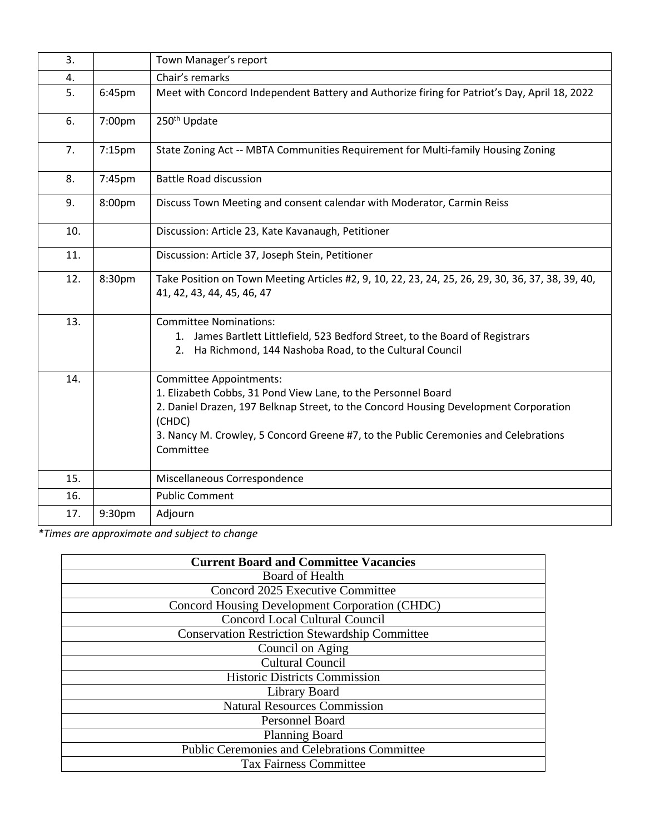| 3.  |        | Town Manager's report                                                                                                                                                                                                                                                                          |
|-----|--------|------------------------------------------------------------------------------------------------------------------------------------------------------------------------------------------------------------------------------------------------------------------------------------------------|
| 4.  |        | Chair's remarks                                                                                                                                                                                                                                                                                |
| 5.  | 6:45pm | Meet with Concord Independent Battery and Authorize firing for Patriot's Day, April 18, 2022                                                                                                                                                                                                   |
| 6.  | 7:00pm | 250 <sup>th</sup> Update                                                                                                                                                                                                                                                                       |
| 7.  | 7:15pm | State Zoning Act -- MBTA Communities Requirement for Multi-family Housing Zoning                                                                                                                                                                                                               |
| 8.  | 7:45pm | <b>Battle Road discussion</b>                                                                                                                                                                                                                                                                  |
| 9.  | 8:00pm | Discuss Town Meeting and consent calendar with Moderator, Carmin Reiss                                                                                                                                                                                                                         |
| 10. |        | Discussion: Article 23, Kate Kavanaugh, Petitioner                                                                                                                                                                                                                                             |
| 11. |        | Discussion: Article 37, Joseph Stein, Petitioner                                                                                                                                                                                                                                               |
| 12. | 8:30pm | Take Position on Town Meeting Articles #2, 9, 10, 22, 23, 24, 25, 26, 29, 30, 36, 37, 38, 39, 40,<br>41, 42, 43, 44, 45, 46, 47                                                                                                                                                                |
| 13. |        | <b>Committee Nominations:</b><br>1. James Bartlett Littlefield, 523 Bedford Street, to the Board of Registrars<br>Ha Richmond, 144 Nashoba Road, to the Cultural Council<br>2.                                                                                                                 |
| 14. |        | Committee Appointments:<br>1. Elizabeth Cobbs, 31 Pond View Lane, to the Personnel Board<br>2. Daniel Drazen, 197 Belknap Street, to the Concord Housing Development Corporation<br>(CHDC)<br>3. Nancy M. Crowley, 5 Concord Greene #7, to the Public Ceremonies and Celebrations<br>Committee |
| 15. |        | Miscellaneous Correspondence                                                                                                                                                                                                                                                                   |
| 16. |        | <b>Public Comment</b>                                                                                                                                                                                                                                                                          |
| 17. | 9:30pm | Adjourn                                                                                                                                                                                                                                                                                        |

*\*Times are approximate and subject to change*

| <b>Current Board and Committee Vacancies</b>          |
|-------------------------------------------------------|
| <b>Board of Health</b>                                |
| Concord 2025 Executive Committee                      |
| Concord Housing Development Corporation (CHDC)        |
| Concord Local Cultural Council                        |
| <b>Conservation Restriction Stewardship Committee</b> |
| Council on Aging                                      |
| <b>Cultural Council</b>                               |
| <b>Historic Districts Commission</b>                  |
| Library Board                                         |
| <b>Natural Resources Commission</b>                   |
| Personnel Board                                       |
| Planning Board                                        |
| <b>Public Ceremonies and Celebrations Committee</b>   |
| <b>Tax Fairness Committee</b>                         |
|                                                       |